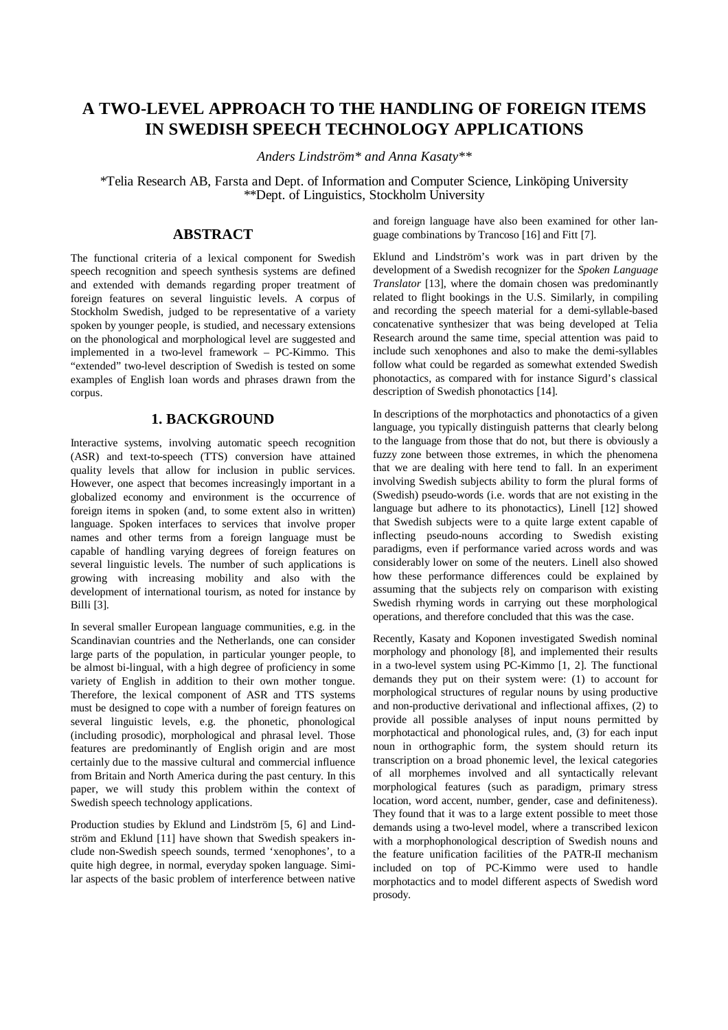# **A TWO-LEVEL APPROACH TO THE HANDLING OF FOREIGN ITEMS IN SWEDISH SPEECH TECHNOLOGY APPLICATIONS**

*Anders Lindström\* and Anna Kasaty\*\**

\*Telia Research AB, Farsta and Dept. of Information and Computer Science, Linköping University \*\*Dept. of Linguistics, Stockholm University

## **ABSTRACT**

The functional criteria of a lexical component for Swedish speech recognition and speech synthesis systems are defined and extended with demands regarding proper treatment of foreign features on several linguistic levels. A corpus of Stockholm Swedish, judged to be representative of a variety spoken by younger people, is studied, and necessary extensions on the phonological and morphological level are suggested and implemented in a two-level framework – PC-Kimmo. This "extended" two-level description of Swedish is tested on some examples of English loan words and phrases drawn from the corpus.

## **1. BACKGROUND**

Interactive systems, involving automatic speech recognition (ASR) and text-to-speech (TTS) conversion have attained quality levels that allow for inclusion in public services. However, one aspect that becomes increasingly important in a globalized economy and environment is the occurrence of foreign items in spoken (and, to some extent also in written) language. Spoken interfaces to services that involve proper names and other terms from a foreign language must be capable of handling varying degrees of foreign features on several linguistic levels. The number of such applications is growing with increasing mobility and also with the development of international tourism, as noted for instance by Billi [3].

In several smaller European language communities, e.g. in the Scandinavian countries and the Netherlands, one can consider large parts of the population, in particular younger people, to be almost bi-lingual, with a high degree of proficiency in some variety of English in addition to their own mother tongue. Therefore, the lexical component of ASR and TTS systems must be designed to cope with a number of foreign features on several linguistic levels, e.g. the phonetic, phonological (including prosodic), morphological and phrasal level. Those features are predominantly of English origin and are most certainly due to the massive cultural and commercial influence from Britain and North America during the past century. In this paper, we will study this problem within the context of Swedish speech technology applications.

Production studies by Eklund and Lindström [5, 6] and Lindström and Eklund [11] have shown that Swedish speakers include non-Swedish speech sounds, termed 'xenophones', to a quite high degree, in normal, everyday spoken language. Similar aspects of the basic problem of interference between native and foreign language have also been examined for other language combinations by Trancoso [16] and Fitt [7].

Eklund and Lindström's work was in part driven by the development of a Swedish recognizer for the *Spoken Language Translator* [13], where the domain chosen was predominantly related to flight bookings in the U.S. Similarly, in compiling and recording the speech material for a demi-syllable-based concatenative synthesizer that was being developed at Telia Research around the same time, special attention was paid to include such xenophones and also to make the demi-syllables follow what could be regarded as somewhat extended Swedish phonotactics, as compared with for instance Sigurd's classical description of Swedish phonotactics [14].

In descriptions of the morphotactics and phonotactics of a given language, you typically distinguish patterns that clearly belong to the language from those that do not, but there is obviously a fuzzy zone between those extremes, in which the phenomena that we are dealing with here tend to fall. In an experiment involving Swedish subjects ability to form the plural forms of (Swedish) pseudo-words (i.e. words that are not existing in the language but adhere to its phonotactics), Linell [12] showed that Swedish subjects were to a quite large extent capable of inflecting pseudo-nouns according to Swedish existing paradigms, even if performance varied across words and was considerably lower on some of the neuters. Linell also showed how these performance differences could be explained by assuming that the subjects rely on comparison with existing Swedish rhyming words in carrying out these morphological operations, and therefore concluded that this was the case.

Recently, Kasaty and Koponen investigated Swedish nominal morphology and phonology [8], and implemented their results in a two-level system using PC-Kimmo [1, 2]. The functional demands they put on their system were: (1) to account for morphological structures of regular nouns by using productive and non-productive derivational and inflectional affixes, (2) to provide all possible analyses of input nouns permitted by morphotactical and phonological rules, and, (3) for each input noun in orthographic form, the system should return its transcription on a broad phonemic level, the lexical categories of all morphemes involved and all syntactically relevant morphological features (such as paradigm, primary stress location, word accent, number, gender, case and definiteness). They found that it was to a large extent possible to meet those demands using a two-level model, where a transcribed lexicon with a morphophonological description of Swedish nouns and the feature unification facilities of the PATR-II mechanism included on top of PC-Kimmo were used to handle morphotactics and to model different aspects of Swedish word prosody.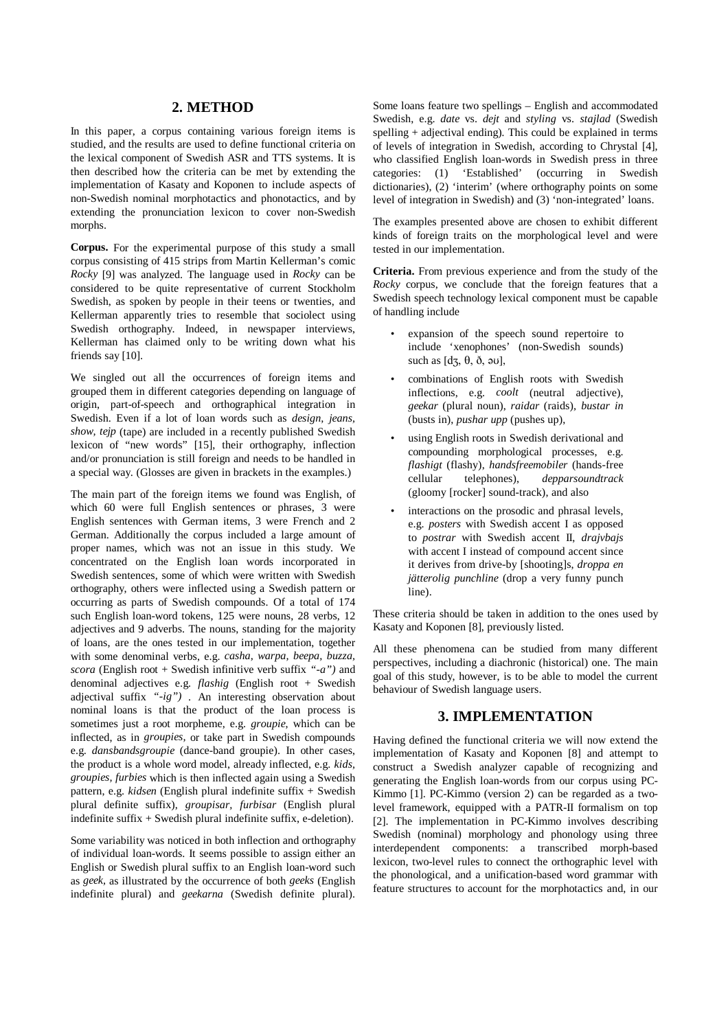## **2. METHOD**

In this paper, a corpus containing various foreign items is studied, and the results are used to define functional criteria on the lexical component of Swedish ASR and TTS systems. It is then described how the criteria can be met by extending the implementation of Kasaty and Koponen to include aspects of non-Swedish nominal morphotactics and phonotactics, and by extending the pronunciation lexicon to cover non-Swedish morphs.

**Corpus.** For the experimental purpose of this study a small corpus consisting of 415 strips from Martin Kellerman's comic *Rocky* [9] was analyzed. The language used in *Rocky* can be considered to be quite representative of current Stockholm Swedish, as spoken by people in their teens or twenties, and Kellerman apparently tries to resemble that sociolect using Swedish orthography. Indeed, in newspaper interviews, Kellerman has claimed only to be writing down what his friends say [10].

We singled out all the occurrences of foreign items and grouped them in different categories depending on language of origin, part-of-speech and orthographical integration in Swedish. Even if a lot of loan words such as *design, jeans, show, tejp* (tape) are included in a recently published Swedish lexicon of "new words" [15], their orthography, inflection and/or pronunciation is still foreign and needs to be handled in a special way. (Glosses are given in brackets in the examples.)

The main part of the foreign items we found was English, of which 60 were full English sentences or phrases, 3 were English sentences with German items, 3 were French and 2 German. Additionally the corpus included a large amount of proper names, which was not an issue in this study. We concentrated on the English loan words incorporated in Swedish sentences, some of which were written with Swedish orthography, others were inflected using a Swedish pattern or occurring as parts of Swedish compounds. Of a total of 174 such English loan-word tokens, 125 were nouns, 28 verbs, 12 adjectives and 9 adverbs. The nouns, standing for the majority of loans, are the ones tested in our implementation, together with some denominal verbs, e.g. *casha, warpa, beepa, buzza, scora* (English root + Swedish infinitive verb suffix *"-a")* and denominal adjectives e.g. *flashig* (English root + Swedish adjectival suffix *"-ig")* . An interesting observation about nominal loans is that the product of the loan process is sometimes just a root morpheme, e.g. *groupie*, which can be inflected, as in *groupies,* or take part in Swedish compounds e.g. *dansbandsgroupie* (dance-band groupie). In other cases, the product is a whole word model, already inflected, e.g. *kids, groupies, furbies* which is then inflected again using a Swedish pattern, e.g. *kidsen* (English plural indefinite suffix + Swedish plural definite suffix), *groupisar, furbisar* (English plural indefinite suffix + Swedish plural indefinite suffix, e-deletion).

Some variability was noticed in both inflection and orthography of individual loan-words. It seems possible to assign either an English or Swedish plural suffix to an English loan-word such as *geek,* as illustrated by the occurrence of both *geeks* (English indefinite plural) and *geekarna* (Swedish definite plural).

Some loans feature two spellings – English and accommodated Swedish, e.g. *date* vs. *dejt* and *styling* vs. *stajlad* (Swedish spelling + adjectival ending)*.* This could be explained in terms of levels of integration in Swedish, according to Chrystal [4], who classified English loan-words in Swedish press in three categories: (1) 'Established' (occurring in Swedish 'Established' (occurring in Swedish dictionaries), (2) 'interim' (where orthography points on some level of integration in Swedish) and (3) 'non-integrated' loans.

The examples presented above are chosen to exhibit different kinds of foreign traits on the morphological level and were tested in our implementation.

**Criteria.** From previous experience and from the study of the *Rocky* corpus, we conclude that the foreign features that a Swedish speech technology lexical component must be capable of handling include

- expansion of the speech sound repertoire to include 'xenophones' (non-Swedish sounds) such as [dʒ,  $\theta$ ,  $\delta$ ,  $\partial$ u],
- combinations of English roots with Swedish inflections, e.g. *coolt* (neutral adjective), *geekar* (plural noun), *raidar* (raids)*, bustar in* (busts in), *pushar upp* (pushes up),
- using English roots in Swedish derivational and compounding morphological processes, e.g. *flashigt* (flashy), *handsfreemobiler* (hands-free cellular telephones), *depparsoundtrack* (gloomy [rocker] sound-track), and also
- interactions on the prosodic and phrasal levels, e.g. *posters* with Swedish accent I as opposed to *postrar* with Swedish accent II, *drajvbajs* with accent I instead of compound accent since it derives from drive-by [shooting]s, *droppa en jätterolig punchline* (drop a very funny punch line).

These criteria should be taken in addition to the ones used by Kasaty and Koponen [8], previously listed.

All these phenomena can be studied from many different perspectives, including a diachronic (historical) one. The main goal of this study, however, is to be able to model the current behaviour of Swedish language users.

## **3. IMPLEMENTATION**

Having defined the functional criteria we will now extend the implementation of Kasaty and Koponen [8] and attempt to construct a Swedish analyzer capable of recognizing and generating the English loan-words from our corpus using PC-Kimmo [1]. PC-Kimmo (version 2) can be regarded as a twolevel framework, equipped with a PATR-II formalism on top [2]. The implementation in PC-Kimmo involves describing Swedish (nominal) morphology and phonology using three interdependent components: a transcribed morph-based lexicon, two-level rules to connect the orthographic level with the phonological, and a unification-based word grammar with feature structures to account for the morphotactics and, in our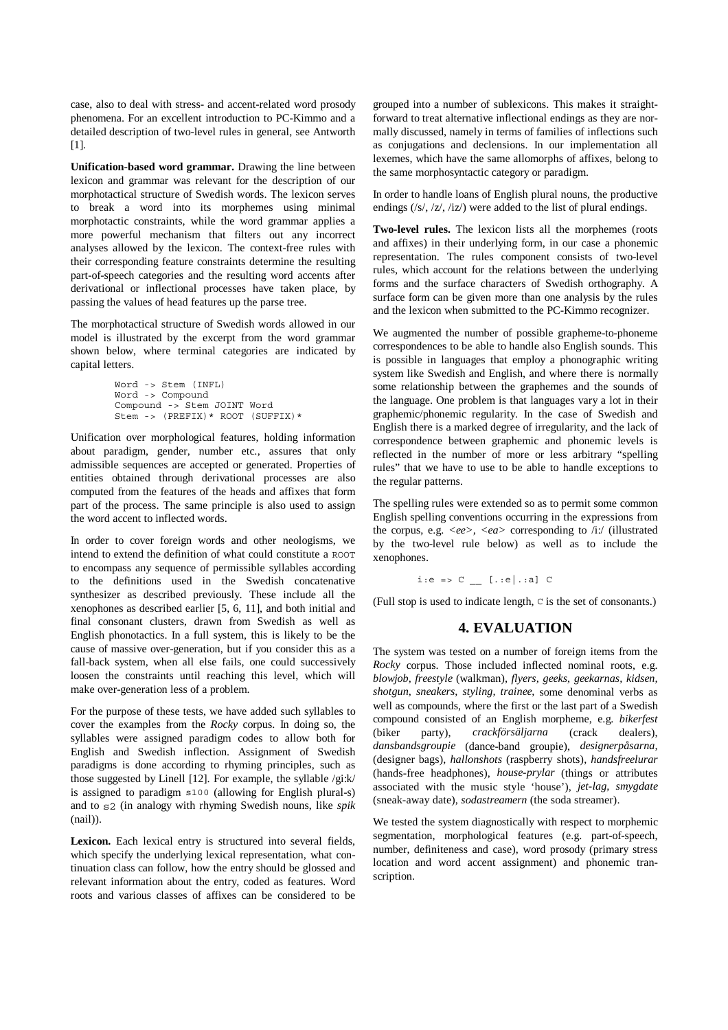case, also to deal with stress- and accent-related word prosody phenomena. For an excellent introduction to PC-Kimmo and a detailed description of two-level rules in general, see Antworth [11].

**Unification-based word grammar.** Drawing the line between lexicon and grammar was relevant for the description of our morphotactical structure of Swedish words. The lexicon serves to break a word into its morphemes using minimal morphotactic constraints, while the word grammar applies a more powerful mechanism that filters out any incorrect analyses allowed by the lexicon. The context-free rules with their corresponding feature constraints determine the resulting part-of-speech categories and the resulting word accents after derivational or inflectional processes have taken place, by passing the values of head features up the parse tree.

The morphotactical structure of Swedish words allowed in our model is illustrated by the excerpt from the word grammar shown below, where terminal categories are indicated by capital letters.

```
Word -> Stem (INFL)
Word -> Compound
Compound -> Stem JOINT Word
Stem -> (PREFIX)* ROOT (SUFFIX)*
```
Unification over morphological features, holding information about paradigm, gender, number etc., assures that only admissible sequences are accepted or generated. Properties of entities obtained through derivational processes are also computed from the features of the heads and affixes that form part of the process. The same principle is also used to assign the word accent to inflected words.

In order to cover foreign words and other neologisms, we intend to extend the definition of what could constitute a ROOT to encompass any sequence of permissible syllables according to the definitions used in the Swedish concatenative synthesizer as described previously. These include all the xenophones as described earlier [5, 6, 11], and both initial and final consonant clusters, drawn from Swedish as well as English phonotactics. In a full system, this is likely to be the cause of massive over-generation, but if you consider this as a fall-back system, when all else fails, one could successively loosen the constraints until reaching this level, which will make over-generation less of a problem.

For the purpose of these tests, we have added such syllables to cover the examples from the *Rocky* corpus. In doing so, the syllables were assigned paradigm codes to allow both for English and Swedish inflection. Assignment of Swedish paradigms is done according to rhyming principles, such as those suggested by Linell [12]. For example, the syllable /gi:k/ is assigned to paradigm s100 (allowing for English plural-s) and to s2 (in analogy with rhyming Swedish nouns, like *spik* (nail)).

**Lexicon.** Each lexical entry is structured into several fields, which specify the underlying lexical representation, what continuation class can follow, how the entry should be glossed and relevant information about the entry, coded as features. Word roots and various classes of affixes can be considered to be

grouped into a number of sublexicons. This makes it straightforward to treat alternative inflectional endings as they are normally discussed, namely in terms of families of inflections such as conjugations and declensions. In our implementation all lexemes, which have the same allomorphs of affixes, belong to the same morphosyntactic category or paradigm.

In order to handle loans of English plural nouns, the productive endings (/s/, /z/, /iz/) were added to the list of plural endings.

**Two-level rules.** The lexicon lists all the morphemes (roots and affixes) in their underlying form, in our case a phonemic representation. The rules component consists of two-level rules, which account for the relations between the underlying forms and the surface characters of Swedish orthography. A surface form can be given more than one analysis by the rules and the lexicon when submitted to the PC-Kimmo recognizer.

We augmented the number of possible grapheme-to-phoneme correspondences to be able to handle also English sounds. This is possible in languages that employ a phonographic writing system like Swedish and English, and where there is normally some relationship between the graphemes and the sounds of the language. One problem is that languages vary a lot in their graphemic/phonemic regularity. In the case of Swedish and English there is a marked degree of irregularity, and the lack of correspondence between graphemic and phonemic levels is reflected in the number of more or less arbitrary "spelling rules" that we have to use to be able to handle exceptions to the regular patterns.

The spelling rules were extended so as to permit some common English spelling conventions occurring in the expressions from the corpus, e.g. *<ee>, <ea>* corresponding to /i:/ (illustrated by the two-level rule below) as well as to include the xenophones.

i:e => C \_\_ [.:e|.:a] C

(Full stop is used to indicate length, C is the set of consonants.)

### **4. EVALUATION**

The system was tested on a number of foreign items from the *Rocky* corpus. Those included inflected nominal roots, e.g. *blowjob, freestyle* (walkman)*, flyers, geeks, geekarnas, kidsen, shotgun, sneakers, styling, trainee,* some denominal verbs as well as compounds, where the first or the last part of a Swedish compound consisted of an English morpheme, e.g. *bikerfest* (biker party), *crackförsäljarna* (crack dealers), *dansbandsgroupie* (dance-band groupie), *designerpåsarna,* (designer bags), *hallonshots* (raspberry shots), *handsfreelurar* (hands-free headphones), *house-prylar* (things or attributes associated with the music style 'house'), *jet-lag, smygdate* (sneak-away date), *sodastreamern* (the soda streamer).

We tested the system diagnostically with respect to morphemic segmentation, morphological features (e.g. part-of-speech, number, definiteness and case), word prosody (primary stress location and word accent assignment) and phonemic transcription.